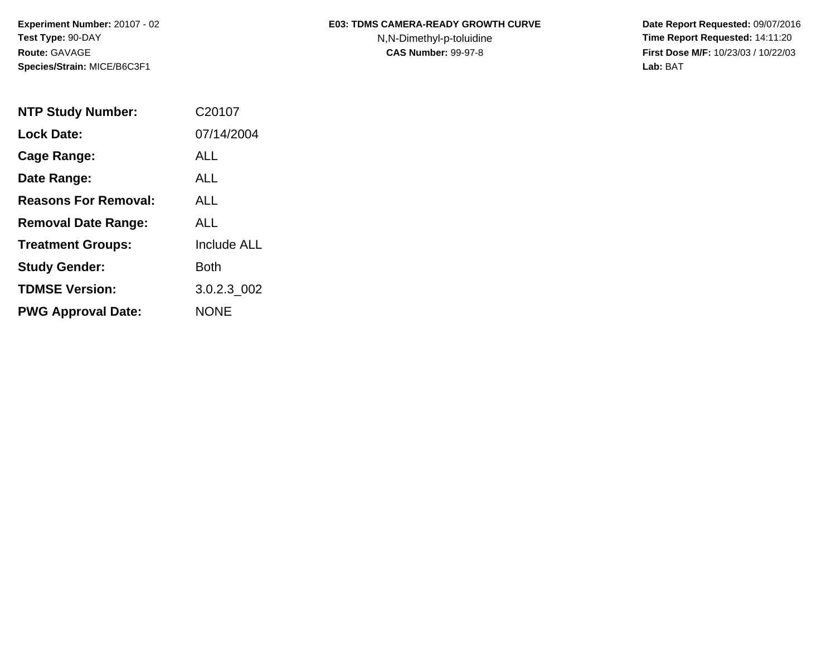**Species/Strain:** MICE/B6C3F1 **Lab:** BAT

## Experiment Number: 20107 - 02 **E03: TDMS CAMERA-READY GROWTH CURVE** Date Report Requested: 09/07/2016

**Test Type: 90-DAY N,N-Dimethyl-p-toluidine Time Report Requested: 14:11:20 Route:** GAVAGE **CAS Number:** 99-97-8 **First Dose M/F:** 10/23/03 / 10/22/03

| <b>NTP Study Number:</b>    | C20107             |
|-----------------------------|--------------------|
| <b>Lock Date:</b>           | 07/14/2004         |
| Cage Range:                 | AI L               |
| Date Range:                 | AI I               |
| <b>Reasons For Removal:</b> | AI I               |
| <b>Removal Date Range:</b>  | ALL                |
| <b>Treatment Groups:</b>    | <b>Include ALL</b> |
| <b>Study Gender:</b>        | Both               |
| <b>TDMSE Version:</b>       | 3.0.2.3 002        |
| <b>PWG Approval Date:</b>   | <b>NONE</b>        |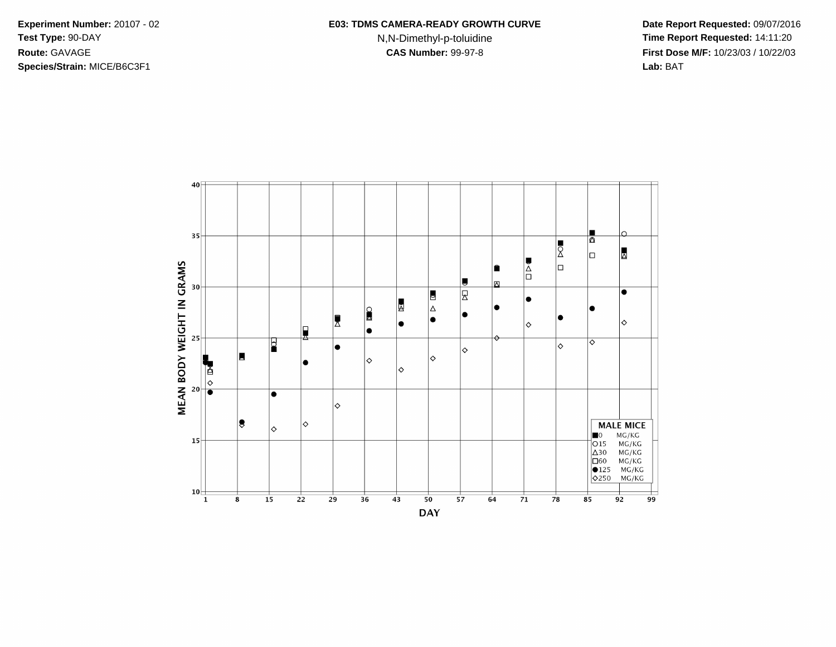**Species/Strain:** MICE/B6C3F1 **Lab:** BAT